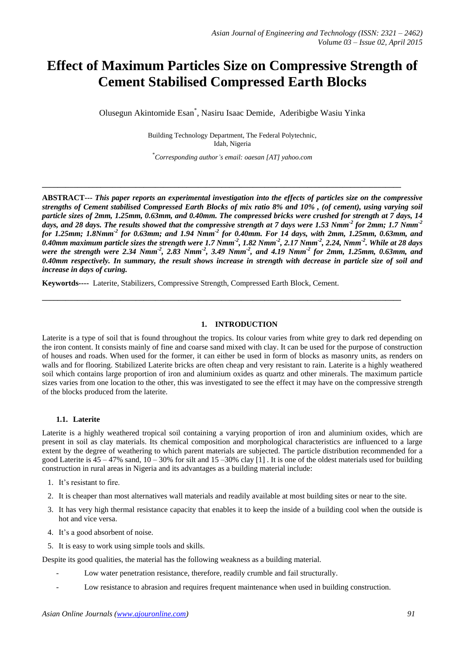# **Effect of Maximum Particles Size on Compressive Strength of Cement Stabilised Compressed Earth Blocks**

Olusegun Akintomide Esan\* , Nasiru Isaac Demide, Aderibigbe Wasiu Yinka

Building Technology Department, The Federal Polytechnic, Idah, Nigeria

\**Corresponding author's email: oaesan [AT] yahoo.com*

**\_\_\_\_\_\_\_\_\_\_\_\_\_\_\_\_\_\_\_\_\_\_\_\_\_\_\_\_\_\_\_\_\_\_\_\_\_\_\_\_\_\_\_\_\_\_\_\_\_\_\_\_\_\_\_\_\_\_\_\_\_\_\_\_\_\_\_\_\_\_\_\_\_\_\_\_\_\_\_\_\_\_\_\_\_\_\_\_\_\_\_\_**

**\_\_\_\_\_\_\_\_\_\_\_\_\_\_\_\_\_\_\_\_\_\_\_\_\_\_\_\_\_\_\_\_\_\_\_\_\_\_\_\_\_\_\_\_\_\_\_\_\_\_\_\_\_\_\_\_\_\_\_\_\_\_\_\_\_\_\_\_\_\_\_\_\_\_\_\_\_\_\_\_\_\_\_\_\_\_\_\_\_\_\_\_**

**ABSTRACT---** *This paper reports an experimental investigation into the effects of particles size on the compressive strengths of Cement stabilised Compressed Earth Blocks of mix ratio 8% and 10% , (of cement), using varying soil particle sizes of 2mm, 1.25mm, 0.63mm, and 0.40mm. The compressed bricks were crushed for strength at 7 days, 14 days, and 28 days. The results showed that the compressive strength at 7 days were 1.53 Nmm-2 for 2mm; 1.7 Nmm-2 for 1.25mm; 1.8Nmm-2 for 0.63mm; and 1.94 Nmm-2 for 0.40mm. For 14 days, with 2mm, 1.25mm, 0.63mm, and 0.40mm maximum particle sizes the strength were 1.7 Nmm-2 , 1.82 Nmm-2 , 2.17 Nmm-2 , 2.24, Nmm-2 . While at 28 days were the strength were 2.34 Nmm-2 , 2.83 Nmm-2 , 3.49 Nmm-2 , and 4.19 Nmm-2 for 2mm, 1.25mm, 0.63mm, and 0.40mm respectively. In summary, the result shows increase in strength with decrease in particle size of soil and increase in days of curing.*

**Keywortds----** Laterite, Stabilizers, Compressive Strength, Compressed Earth Block, Cement.

## **1. INTRODUCTION**

Laterite is a type of soil that is found throughout the tropics. Its colour varies from white grey to dark red depending on the iron content. It consists mainly of fine and coarse sand mixed with clay. It can be used for the purpose of construction of houses and roads. When used for the former, it can either be used in form of blocks as masonry units, as renders on walls and for flooring. Stabilized Laterite bricks are often cheap and very resistant to rain. Laterite is a highly weathered soil which contains large proportion of iron and aluminium oxides as quartz and other minerals. The maximum particle sizes varies from one location to the other, this was investigated to see the effect it may have on the compressive strength of the blocks produced from the laterite.

#### **1.1. Laterite**

Laterite is a highly weathered tropical soil containing a varying proportion of iron and aluminium oxides, which are present in soil as clay materials. Its chemical composition and morphological characteristics are influenced to a large extent by the degree of weathering to which parent materials are subjected. The particle distribution recommended for a good Laterite is  $45 - 47\%$  sand,  $10 - 30\%$  for silt and  $15 - 30\%$  clay [1]. It is one of the oldest materials used for building construction in rural areas in Nigeria and its advantages as a building material include:

- 1. It's resistant to fire.
- 2. It is cheaper than most alternatives wall materials and readily available at most building sites or near to the site.
- 3. It has very high thermal resistance capacity that enables it to keep the inside of a building cool when the outside is hot and vice versa.
- 4. It's a good absorbent of noise.
- 5. It is easy to work using simple tools and skills.

Despite its good qualities, the material has the following weakness as a building material.

- Low water penetration resistance, therefore, readily crumble and fail structurally.
- Low resistance to abrasion and requires frequent maintenance when used in building construction.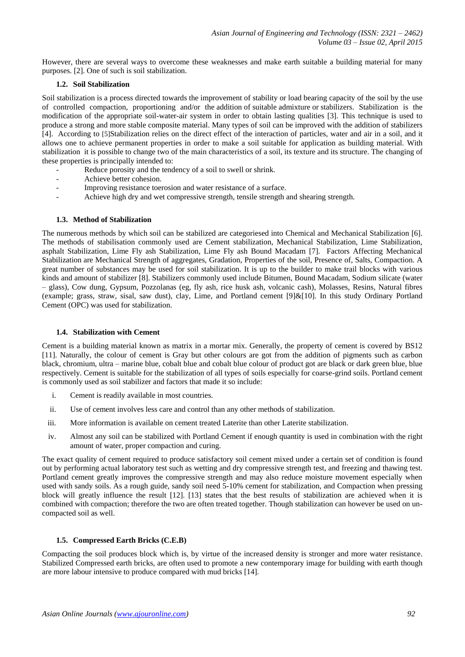However, there are several ways to overcome these weaknesses and make earth suitable a building material for many purposes. [2]. One of such is soil stabilization.

## **1.2. Soil Stabilization**

Soil stabilization is a process directed towards the improvement of stability or load bearing capacity of the soil by the use of controlled compaction, proportioning and/or the addition of suitable admixture or stabilizers. Stabilization is the modification of the appropriate soil-water-air system in order to obtain lasting qualities [3]. This technique is used to produce a strong and more stable composite material. Many types of soil can be improved with the addition of stabilizers [4]. According to [5]Stabilization relies on the direct effect of the interaction of particles, water and air in a soil, and it allows one to achieve permanent properties in order to make a soil suitable for application as building material. With stabilization it is possible to change two of the main characteristics of a soil, its texture and its structure. The changing of these properties is principally intended to:

- Reduce porosity and the tendency of a soil to swell or shrink.
- Achieve better cohesion.
- Improving resistance toerosion and water resistance of a surface.
- Achieve high dry and wet compressive strength, tensile strength and shearing strength.

#### **1.3. Method of Stabilization**

The numerous methods by which soil can be stabilized are categoriesed into Chemical and Mechanical Stabilization [6]. The methods of stabilisation commonly used are Cement stabilization, Mechanical Stabilization, Lime Stabilization, asphalt Stabilization, Lime Fly ash Stabilization, Lime Fly ash Bound Macadam [7]. Factors Affecting Mechanical Stabilization are Mechanical Strength of aggregates, Gradation, Properties of the soil, Presence of, Salts, Compaction. A great number of substances may be used for soil stabilization. It is up to the builder to make trail blocks with various kinds and amount of stabilizer [8]. Stabilizers commonly used include Bitumen, Bound Macadam, Sodium silicate (water – glass), Cow dung, Gypsum, Pozzolanas (eg, fly ash, rice husk ash, volcanic cash), Molasses, Resins, Natural fibres (example; grass, straw, sisal, saw dust), clay, Lime, and Portland cement [9]&[10]. In this study Ordinary Portland Cement (OPC) was used for stabilization.

## **1.4. Stabilization with Cement**

Cement is a building material known as matrix in a mortar mix. Generally, the property of cement is covered by BS12 [11]. Naturally, the colour of cement is Gray but other colours are got from the addition of pigments such as carbon black, chromium, ultra – marine blue, cobalt blue and cobalt blue colour of product got are black or dark green blue, blue respectively. Cement is suitable for the stabilization of all types of soils especially for coarse-grind soils. Portland cement is commonly used as soil stabilizer and factors that made it so include:

- i. Cement is readily available in most countries.
- ii. Use of cement involves less care and control than any other methods of stabilization.
- iii. More information is available on cement treated Laterite than other Laterite stabilization.
- iv. Almost any soil can be stabilized with Portland Cement if enough quantity is used in combination with the right amount of water, proper compaction and curing.

The exact quality of cement required to produce satisfactory soil cement mixed under a certain set of condition is found out by performing actual laboratory test such as wetting and dry compressive strength test, and freezing and thawing test. Portland cement greatly improves the compressive strength and may also reduce moisture movement especially when used with sandy soils. As a rough guide, sandy soil need 5-10% cement for stabilization, and Compaction when pressing block will greatly influence the result [12]. [13] states that the best results of stabilization are achieved when it is combined with compaction; therefore the two are often treated together. Though stabilization can however be used on uncompacted soil as well.

## **1.5. Compressed Earth Bricks (C.E.B)**

Compacting the soil produces block which is, by virtue of the increased density is stronger and more water resistance. Stabilized Compressed earth bricks, are often used to promote a new contemporary image for building with earth though are more labour intensive to produce compared with mud bricks [14].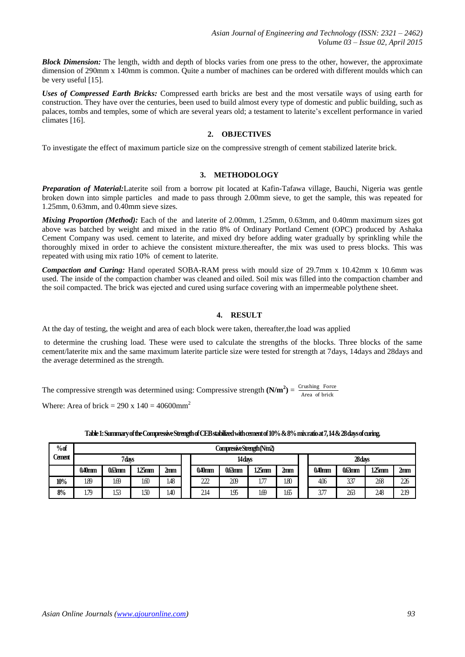*Block Dimension:* The length, width and depth of blocks varies from one press to the other, however, the approximate dimension of 290mm x 140mm is common. Quite a number of machines can be ordered with different moulds which can be very useful [15].

*Uses of Compressed Earth Bricks:* Compressed earth bricks are best and the most versatile ways of using earth for construction. They have over the centuries, been used to build almost every type of domestic and public building, such as palaces, tombs and temples, some of which are several years old; a testament to laterite's excellent performance in varied climates [16].

## **2. OBJECTIVES**

To investigate the effect of maximum particle size on the compressive strength of cement stabilized laterite brick.

#### **3. METHODOLOGY**

*Preparation of Material:*Laterite soil from a borrow pit located at Kafin-Tafawa village, Bauchi, Nigeria was gentle broken down into simple particles and made to pass through 2.00mm sieve, to get the sample, this was repeated for 1.25mm, 0.63mm, and 0.40mm sieve sizes.

*Mixing Proportion (Method):* Each of the and laterite of 2.00mm, 1.25mm, 0.63mm, and 0.40mm maximum sizes got above was batched by weight and mixed in the ratio 8% of Ordinary Portland Cement (OPC) produced by Ashaka Cement Company was used. cement to laterite, and mixed dry before adding water gradually by sprinkling while the thoroughly mixed in order to achieve the consistent mixture.thereafter, the mix was used to press blocks. This was repeated with using mix ratio 10% of cement to laterite.

*Compaction and Curing:* Hand operated SOBA-RAM press with mould size of 29.7mm x 10.42mm x 10.6mm was used. The inside of the compaction chamber was cleaned and oiled. Soil mix was filled into the compaction chamber and the soil compacted. The brick was ejected and cured using surface covering with an impermeable polythene sheet.

## **4. RESULT**

At the day of testing, the weight and area of each block were taken, thereafter,the load was applied

to determine the crushing load. These were used to calculate the strengths of the blocks. Three blocks of the same cement/laterite mix and the same maximum laterite particle size were tested for strength at 7days, 14days and 28days and the average determined as the strength.

The compressive strength was determined using: Compressive strength  $(N/m^2) = \frac{C_{\text{rushing}}}{4 \pi \epsilon_0}$  Force Area of brick

Where: Area of brick = 290 x  $140 = 40600$ mm<sup>2</sup>

| % of   | Compressive Strength (Nm2) |          |             |                |  |           |                   |               |                 |  |           |          |          |                 |
|--------|----------------------------|----------|-------------|----------------|--|-----------|-------------------|---------------|-----------------|--|-----------|----------|----------|-----------------|
| Cement | 7days                      |          |             |                |  |           | 28 days<br>14days |               |                 |  |           |          |          |                 |
|        | $0.40$ mm                  | $063$ mm | <b>25mm</b> | $2\mathrm{nm}$ |  | $0.40$ mm | $063$ mm          | 1.25mm        | 2 <sub>mm</sub> |  | $0.40$ mm | $063$ mm | $125$ mm | 2 <sub>mm</sub> |
| 10%    | 1.89                       | 1.69     | 160         | 1.48           |  | 222       | 209               | $1.7^{\circ}$ | 1.80            |  | 406       | 337      | 268      | 226             |
| 8%     | 1.79                       | 153      | 150         | 1.40           |  | 2.14      | 1.95              | 1.69          | 1.65            |  | 3.77      | 263      | 248      | 219             |

**Table 1: Summary of the Compressive Strength of CEB stabilized with cement of 10% & 8%mix ratio at 7, 14 & 28 days of curing.**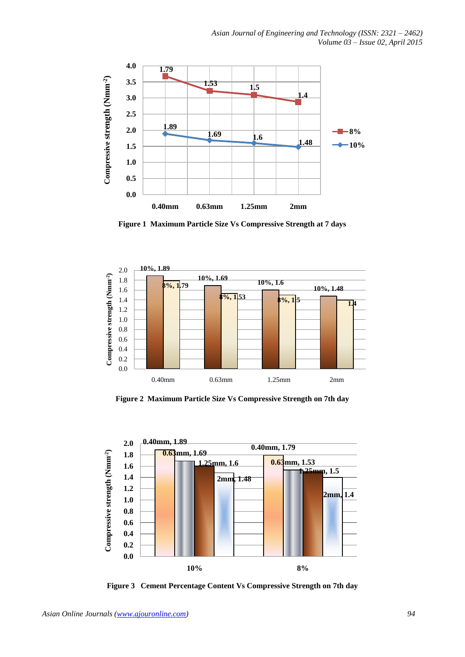

**Figure 1 Maximum Particle Size Vs Compressive Strength at 7 days** 



**Figure 2 Maximum Particle Size Vs Compressive Strength on 7th day**



**Figure 3 Cement Percentage Content Vs Compressive Strength on 7th day**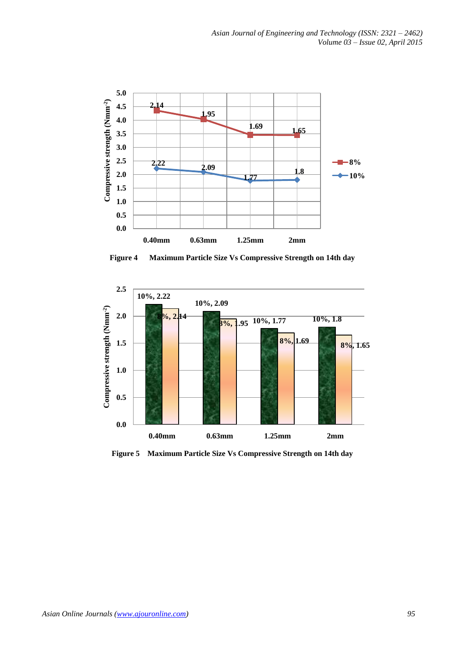

**Figure 4 Maximum Particle Size Vs Compressive Strength on 14th day**



**Figure 5 Maximum Particle Size Vs Compressive Strength on 14th day**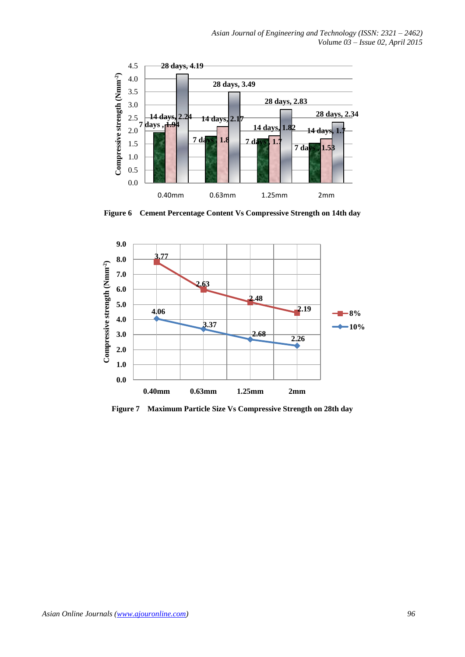

**Figure 6 Cement Percentage Content Vs Compressive Strength on 14th day**



**Figure 7 Maximum Particle Size Vs Compressive Strength on 28th day**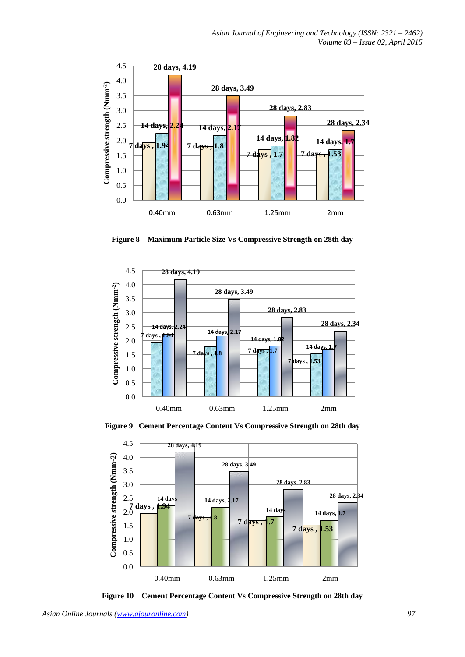

**Figure 8 Maximum Particle Size Vs Compressive Strength on 28th day**



**Figure 9 Cement Percentage Content Vs Compressive Strength on 28th day**



**Figure 10 Cement Percentage Content Vs Compressive Strength on 28th day**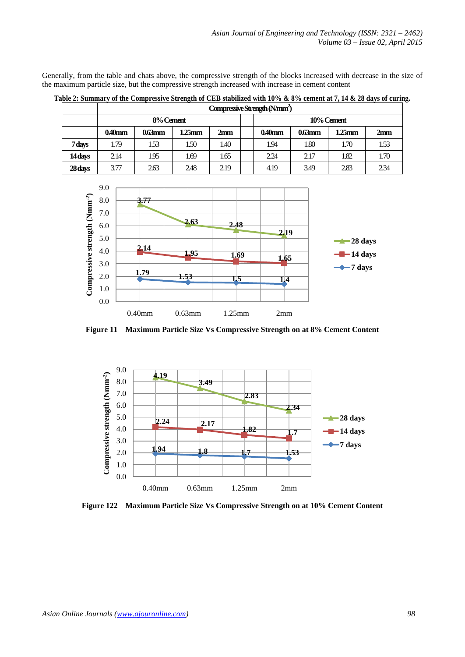Generally, from the table and chats above, the compressive strength of the blocks increased with decrease in the size of the maximum particle size, but the compressive strength increased with increase in cement content

|         | Compressive Strength (Nmm <sup>2</sup> ) |           |        |                 |  |            |           |           |      |  |  |
|---------|------------------------------------------|-----------|--------|-----------------|--|------------|-----------|-----------|------|--|--|
|         |                                          | 8% Cement |        |                 |  | 10% Cement |           |           |      |  |  |
|         | $0.40$ mm                                | $0.63$ mm | 1.25mm | 2 <sub>mm</sub> |  | $0.40$ mm  | $0.63$ mm | $1.25$ mm | 2mm  |  |  |
| 7 days  | 1.79                                     | 1.53      | 1.50   | 1.40            |  | 1.94       | 1.80      | 1.70      | 1.53 |  |  |
| 14 days | 2.14                                     | 1.95      | 1.69   | 1.65            |  | 2.24       | 2.17      | 1.82      | 1.70 |  |  |
| 28 days | 3.77                                     | 2.63      | 2.48   | 2.19            |  | 4.19       | 3.49      | 2.83      | 234  |  |  |

**Table 2: Summary of the Compressive Strength of CEB stabilized with 10% & 8% cement at 7, 14 & 28 days of curing.**



**Figure 11 Maximum Particle Size Vs Compressive Strength on at 8% Cement Content**



**Figure 122 Maximum Particle Size Vs Compressive Strength on at 10% Cement Content**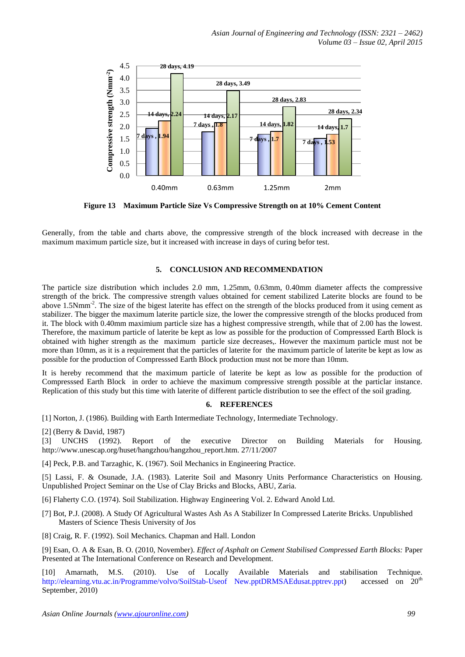

**Figure 13 Maximum Particle Size Vs Compressive Strength on at 10% Cement Content**

Generally, from the table and charts above, the compressive strength of the block increased with decrease in the maximum maximum particle size, but it increased with increase in days of curing befor test.

## **5. CONCLUSION AND RECOMMENDATION**

The particle size distribution which includes 2.0 mm, 1.25mm, 0.63mm, 0.40mm diameter affects the compressive strength of the brick. The compressive strength values obtained for cement stabilized Laterite blocks are found to be above 1.5Nmm<sup>-2</sup>. The size of the bigest laterite has effect on the strength of the blocks produced from it using cement as stabilizer. The bigger the maximum laterite particle size, the lower the compressive strength of the blocks produced from it. The block with 0.40mm maximium particle size has a highest compressive strength, while that of 2.00 has the lowest. Therefore, the maximum particle of laterite be kept as low as possible for the production of Compresssed Earth Block is obtained with higher strength as the maximum particle size decreases,. However the maximum particle must not be more than 10mm, as it is a requirement that the particles of laterite for the maximum particle of laterite be kept as low as possible for the production of Compresssed Earth Block production must not be more than 10mm.

It is hereby recommend that the maximum particle of laterite be kept as low as possible for the production of Compresssed Earth Block in order to achieve the maximum compressive strength possible at the particlar instance. Replication of this study but this time with laterite of different particle distribution to see the effect of the soil grading.

#### **6. REFERENCES**

[1] Norton, J. (1986). Building with Earth Intermediate Technology, Intermediate Technology.

[2] (Berry & David, 1987)<br>[3] UNCHS (1992).

[3] UNCHS (1992). Report of the executive Director on Building Materials for Housing. http://www.unescap.org/huset/hangzhou/hangzhou\_report.htm. 27/11/2007

[4] Peck, P.B. and Tarzaghic, K. (1967). Soil Mechanics in Engineering Practice.

[5] Lassi, F. & Osunade, J.A. (1983). Laterite Soil and Masonry Units Performance Characteristics on Housing. Unpublished Project Seminar on the Use of Clay Bricks and Blocks, ABU, Zaria.

[6] Flaherty C.O. (1974). Soil Stabilization. Highway Engineering Vol. 2. Edward Anold Ltd.

[7] Bot, P.J. (2008). A Study Of Agricultural Wastes Ash As A Stabilizer In Compressed Laterite Bricks. Unpublished Masters of Science Thesis University of Jos

[8] Craig, R. F. (1992). Soil Mechanics. Chapman and Hall. London

[9] Esan, O. A & Esan, B. O. (2010, November). *Effect of Asphalt on Cement Stabilised Compressed Earth Blocks:* Paper Presented at The International Conference on Research and Development.

[10] Amarnath, M.S. (2010). Use of Locally Available Materials and stabilisation Technique. [http://elearning.vtu.ac.in/Programme/volvo/SoilStab-Useof New.pptDRMSAEdusat.pptrev.ppt\)](http://elearning.vtu.ac.in/Programme/volvo/SoilStab-Useof%20New.pptDRMSAEdusat.pptrev.ppt) accessed on 20<sup>th</sup> September, 2010)